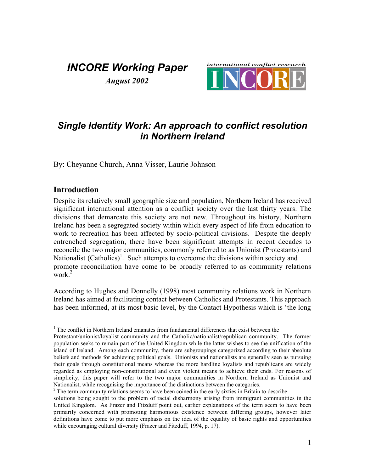## *INCORE Working Paper August 2002*



## *Single Identity Work: An approach to conflict resolution in Northern Ireland*

By: Cheyanne Church, Anna Visser, Laurie Johnson

#### **Introduction**

Despite its relatively small geographic size and population, Northern Ireland has received significant international attention as a conflict society over the last thirty years. The divisions that demarcate this society are not new. Throughout its history, Northern Ireland has been a segregated society within which every aspect of life from education to work to recreation has been affected by socio-political divisions. Despite the deeply entrenched segregation, there have been significant attempts in recent decades to reconcile the two major communities, commonly referred to as Unionist (Protestants) and Nationalist  $(Catholics)^{1}$ . Such attempts to overcome the divisions within society and promote reconciliation have come to be broadly referred to as community relations work $^2$ 

According to Hughes and Donnelly (1998) most community relations work in Northern Ireland has aimed at facilitating contact between Catholics and Protestants. This approach has been informed, at its most basic level, by the Contact Hypothesis which is 'the long

 $2<sup>2</sup>$  The term community relations seems to have been coined in the early sixties in Britain to describe

 $\frac{1}{1}$  $<sup>1</sup>$  The conflict in Northern Ireland emanates from fundamental differences that exist between the</sup>

Protestant/unionist/loyalist community and the Catholic/nationalist/republican community. The former population seeks to remain part of the United Kingdom while the latter wishes to see the unification of the island of Ireland. Among each community, there are subgroupings categorized according to their absolute beliefs and methods for achieving political goals. Unionists and nationalists are generally seen as pursuing their goals through constitutional means whereas the more hardline loyalists and republicans are widely regarded as employing non-constitutional and even violent means to achieve their ends. For reasons of simplicity, this paper will refer to the two major communities in Northern Ireland as Unionist and Nationalist, while recognising the importance of the distinctions between the categories.

solutions being sought to the problem of racial disharmony arising from immigrant communities in the United Kingdom. As Frazer and Fitzduff point out, earlier explanations of the term seem to have been primarily concerned with promoting harmonious existence between differing groups, however later definitions have come to put more emphasis on the idea of the equality of basic rights and opportunities while encouraging cultural diversity (Frazer and Fitzduff, 1994, p. 17).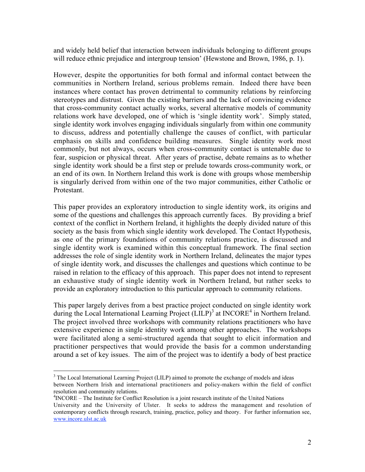and widely held belief that interaction between individuals belonging to different groups will reduce ethnic prejudice and intergroup tension' (Hewstone and Brown, 1986, p. 1).

However, despite the opportunities for both formal and informal contact between the communities in Northern Ireland, serious problems remain. Indeed there have been instances where contact has proven detrimental to community relations by reinforcing stereotypes and distrust. Given the existing barriers and the lack of convincing evidence that cross-community contact actually works, several alternative models of community relations work have developed, one of which is 'single identity work'. Simply stated, single identity work involves engaging individuals singularly from within one community to discuss, address and potentially challenge the causes of conflict, with particular emphasis on skills and confidence building measures. Single identity work most commonly, but not always, occurs when cross-community contact is untenable due to fear, suspicion or physical threat. After years of practise, debate remains as to whether single identity work should be a first step or prelude towards cross-community work, or an end of its own. In Northern Ireland this work is done with groups whose membership is singularly derived from within one of the two major communities, either Catholic or Protestant.

This paper provides an exploratory introduction to single identity work, its origins and some of the questions and challenges this approach currently faces. By providing a brief context of the conflict in Northern Ireland, it highlights the deeply divided nature of this society as the basis from which single identity work developed. The Contact Hypothesis, as one of the primary foundations of community relations practice, is discussed and single identity work is examined within this conceptual framework. The final section addresses the role of single identity work in Northern Ireland, delineates the major types of single identity work, and discusses the challenges and questions which continue to be raised in relation to the efficacy of this approach. This paper does not intend to represent an exhaustive study of single identity work in Northern Ireland, but rather seeks to provide an exploratory introduction to this particular approach to community relations.

This paper largely derives from a best practice project conducted on single identity work during the Local International Learning Project (LILP)<sup>3</sup> at INCORE<sup>4</sup> in Northern Ireland. The project involved three workshops with community relations practitioners who have extensive experience in single identity work among other approaches. The workshops were facilitated along a semi-structured agenda that sought to elicit information and practitioner perspectives that would provide the basis for a common understanding around a set of key issues. The aim of the project was to identify a body of best practice

<sup>4</sup> INCORE – The Institute for Conflict Resolution is a joint research institute of the United Nations

<sup>&</sup>lt;sup>2</sup><br>3  $3$  The Local International Learning Project (LILP) aimed to promote the exchange of models and ideas between Northern Irish and international practitioners and policy-makers within the field of conflict resolution and community relations.

University and the University of Ulster. It seeks to address the management and resolution of contemporary conflicts through research, training, practice, policy and theory. For further information see, www.incore.ulst.ac.uk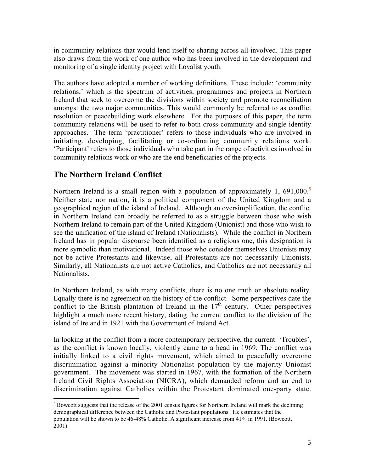in community relations that would lend itself to sharing across all involved. This paper also draws from the work of one author who has been involved in the development and monitoring of a single identity project with Loyalist youth.

The authors have adopted a number of working definitions. These include: 'community relations,' which is the spectrum of activities, programmes and projects in Northern Ireland that seek to overcome the divisions within society and promote reconciliation amongst the two major communities. This would commonly be referred to as conflict resolution or peacebuilding work elsewhere. For the purposes of this paper, the term community relations will be used to refer to both cross-community and single identity approaches. The term 'practitioner' refers to those individuals who are involved in initiating, developing, facilitating or co-ordinating community relations work. 'Participant' refers to those individuals who take part in the range of activities involved in community relations work or who are the end beneficiaries of the projects.

### **The Northern Ireland Conflict**

Northern Ireland is a small region with a population of approximately 1, 691,000.<sup>5</sup> Neither state nor nation, it is a political component of the United Kingdom and a geographical region of the island of Ireland. Although an oversimplification, the conflict in Northern Ireland can broadly be referred to as a struggle between those who wish Northern Ireland to remain part of the United Kingdom (Unionist) and those who wish to see the unification of the island of Ireland (Nationalists). While the conflict in Northern Ireland has in popular discourse been identified as a religious one, this designation is more symbolic than motivational. Indeed those who consider themselves Unionists may not be active Protestants and likewise, all Protestants are not necessarily Unionists. Similarly, all Nationalists are not active Catholics, and Catholics are not necessarily all Nationalists.

In Northern Ireland, as with many conflicts, there is no one truth or absolute reality. Equally there is no agreement on the history of the conflict. Some perspectives date the conflict to the British plantation of Ireland in the  $17<sup>th</sup>$  century. Other perspectives highlight a much more recent history, dating the current conflict to the division of the island of Ireland in 1921 with the Government of Ireland Act.

In looking at the conflict from a more contemporary perspective, the current 'Troubles', as the conflict is known locally, violently came to a head in 1969. The conflict was initially linked to a civil rights movement, which aimed to peacefully overcome discrimination against a minority Nationalist population by the majority Unionist government. The movement was started in 1967, with the formation of the Northern Ireland Civil Rights Association (NICRA), which demanded reform and an end to discrimination against Catholics within the Protestant dominated one-party state.

 $\frac{1}{5}$  $<sup>5</sup>$  Bowcott suggests that the release of the 2001 census figures for Northern Ireland will mark the declining</sup> demographical difference between the Catholic and Protestant populations. He estimates that the population will be shown to be 46-48% Catholic. A significant increase from 41% in 1991. (Bowcott, 2001)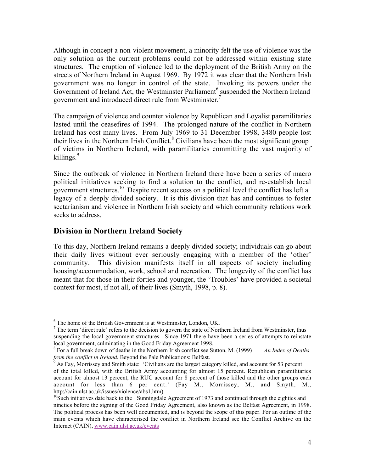Although in concept a non-violent movement, a minority felt the use of violence was the only solution as the current problems could not be addressed within existing state structures. The eruption of violence led to the deployment of the British Army on the streets of Northern Ireland in August 1969. By 1972 it was clear that the Northern Irish government was no longer in control of the state. Invoking its powers under the Government of Ireland Act, the Westminster Parliament<sup>6</sup> suspended the Northern Ireland government and introduced direct rule from Westminster.<sup>7</sup>

The campaign of violence and counter violence by Republican and Loyalist paramilitaries lasted until the ceasefires of 1994. The prolonged nature of the conflict in Northern Ireland has cost many lives. From July 1969 to 31 December 1998, 3480 people lost their lives in the Northern Irish Conflict.<sup>8</sup> Civilians have been the most significant group of victims in Northern Ireland, with paramilitaries committing the vast majority of killings.<sup>9</sup>

Since the outbreak of violence in Northern Ireland there have been a series of macro political initiatives seeking to find a solution to the conflict, and re-establish local government structures.<sup>10</sup> Despite recent success on a political level the conflict has left a legacy of a deeply divided society. It is this division that has and continues to foster sectarianism and violence in Northern Irish society and which community relations work seeks to address.

#### **Division in Northern Ireland Society**

To this day, Northern Ireland remains a deeply divided society; individuals can go about their daily lives without ever seriously engaging with a member of the 'other' community. This division manifests itself in all aspects of society including housing/accommodation, work, school and recreation. The longevity of the conflict has meant that for those in their forties and younger, the 'Troubles' have provided a societal context for most, if not all, of their lives (Smyth, 1998, p. 8).

 <sup>6</sup>  $6$  The home of the British Government is at Westminster, London, UK.

 $<sup>7</sup>$  The term 'direct rule' refers to the decision to govern the state of Northern Ireland from Westminster, thus</sup> suspending the local government structures. Since 1971 there have been a series of attempts to reinstate local government, culminating in the Good Friday Agreement 1998.

<sup>&</sup>lt;sup>8</sup> For a full break down of deaths in the Northern Irish conflict see Sutton, M. (1999) *An Index of Deaths from the conflict in Ireland*, Beyond the Pale Publications: Belfast.

As Fay, Morrissey and Smith state: 'Civilians are the largest category killed, and account for 53 percent of the total killed, with the British Army accounting for almost 15 percent. Republican paramilitaries account for almost 13 percent, the RUC account for 8 percent of those killed and the other groups each account for less than 6 per cent.' (Fay M., Morrissey, M., and Smyth, M., http://cain.ulst.ac.uk/issues/violence/abs1.htm)

 $10$ Such initiatives date back to the Sunningdale Agreement of 1973 and continued through the eighties and nineties before the signing of the Good Friday Agreement, also known as the Belfast Agreement, in 1998. The political process has been well documented, and is beyond the scope of this paper. For an outline of the main events which have characterised the conflict in Northern Ireland see the Conflict Archive on the Internet (CAIN), www.cain.ulst.ac.uk/events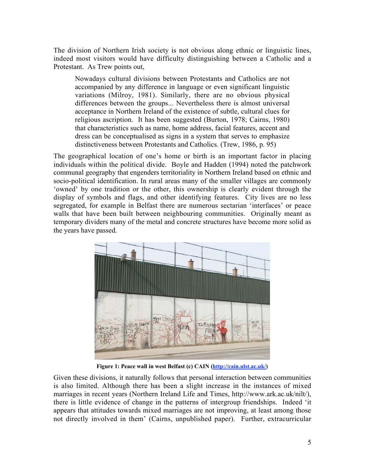The division of Northern Irish society is not obvious along ethnic or linguistic lines, indeed most visitors would have difficulty distinguishing between a Catholic and a Protestant. As Trew points out,

Nowadays cultural divisions between Protestants and Catholics are not accompanied by any difference in language or even significant linguistic variations (Milroy, 1981). Similarly, there are no obvious physical differences between the groups... Nevertheless there is almost universal acceptance in Northern Ireland of the existence of subtle, cultural clues for religious ascription. It has been suggested (Burton, 1978; Cairns, 1980) that characteristics such as name, home address, facial features, accent and dress can be conceptualised as signs in a system that serves to emphasize distinctiveness between Protestants and Catholics. (Trew, 1986, p. 95)

The geographical location of one's home or birth is an important factor in placing individuals within the political divide. Boyle and Hadden (1994) noted the patchwork communal geography that engenders territoriality in Northern Ireland based on ethnic and socio-political identification. In rural areas many of the smaller villages are commonly 'owned' by one tradition or the other, this ownership is clearly evident through the display of symbols and flags, and other identifying features. City lives are no less segregated, for example in Belfast there are numerous sectarian 'interfaces' or peace walls that have been built between neighbouring communities. Originally meant as temporary dividers many of the metal and concrete structures have become more solid as the years have passed.



**Figure 1: Peace wall in west Belfast (c) CAIN (http://cain.ulst.ac.uk/)**

Given these divisions, it naturally follows that personal interaction between communities is also limited. Although there has been a slight increase in the instances of mixed marriages in recent years (Northern Ireland Life and Times, http://www.ark.ac.uk/nilt/), there is little evidence of change in the patterns of intergroup friendships. Indeed 'it appears that attitudes towards mixed marriages are not improving, at least among those not directly involved in them' (Cairns, unpublished paper). Further, extracurricular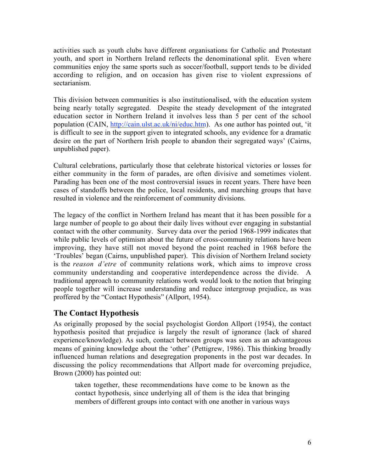activities such as youth clubs have different organisations for Catholic and Protestant youth, and sport in Northern Ireland reflects the denominational split. Even where communities enjoy the same sports such as soccer/football, support tends to be divided according to religion, and on occasion has given rise to violent expressions of sectarianism.

This division between communities is also institutionalised, with the education system being nearly totally segregated. Despite the steady development of the integrated education sector in Northern Ireland it involves less than 5 per cent of the school population (CAIN, http://cain.ulst.ac.uk/ni/educ.htm). As one author has pointed out, 'it is difficult to see in the support given to integrated schools, any evidence for a dramatic desire on the part of Northern Irish people to abandon their segregated ways' (Cairns, unpublished paper).

Cultural celebrations, particularly those that celebrate historical victories or losses for either community in the form of parades, are often divisive and sometimes violent. Parading has been one of the most controversial issues in recent years. There have been cases of standoffs between the police, local residents, and marching groups that have resulted in violence and the reinforcement of community divisions.

The legacy of the conflict in Northern Ireland has meant that it has been possible for a large number of people to go about their daily lives without ever engaging in substantial contact with the other community. Survey data over the period 1968-1999 indicates that while public levels of optimism about the future of cross-community relations have been improving, they have still not moved beyond the point reached in 1968 before the 'Troubles' began (Cairns, unpublished paper). This division of Northern Ireland society is the *reason d'etre* of community relations work, which aims to improve cross community understanding and cooperative interdependence across the divide. A traditional approach to community relations work would look to the notion that bringing people together will increase understanding and reduce intergroup prejudice, as was proffered by the "Contact Hypothesis" (Allport, 1954).

#### **The Contact Hypothesis**

As originally proposed by the social psychologist Gordon Allport (1954), the contact hypothesis posited that prejudice is largely the result of ignorance (lack of shared experience/knowledge). As such, contact between groups was seen as an advantageous means of gaining knowledge about the 'other' (Pettigrew, 1986). This thinking broadly influenced human relations and desegregation proponents in the post war decades. In discussing the policy recommendations that Allport made for overcoming prejudice, Brown (2000) has pointed out:

taken together, these recommendations have come to be known as the contact hypothesis, since underlying all of them is the idea that bringing members of different groups into contact with one another in various ways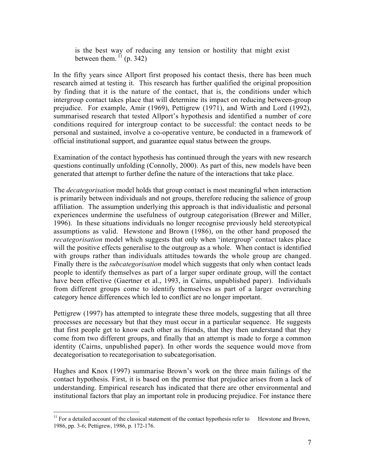is the best way of reducing any tension or hostility that might exist between them.  $\mathbf{I}^{\text{I}}$  (p. 342)

In the fifty years since Allport first proposed his contact thesis, there has been much research aimed at testing it. This research has further qualified the original proposition by finding that it is the nature of the contact, that is, the conditions under which intergroup contact takes place that will determine its impact on reducing between-group prejudice. For example, Amir (1969), Pettigrew (1971), and Wirth and Lord (1992), summarised research that tested Allport's hypothesis and identified a number of core conditions required for intergroup contact to be successful: the contact needs to be personal and sustained, involve a co-operative venture, be conducted in a framework of official institutional support, and guarantee equal status between the groups.

Examination of the contact hypothesis has continued through the years with new research questions continually unfolding (Connolly, 2000). As part of this, new models have been generated that attempt to further define the nature of the interactions that take place.

The *decategorisation* model holds that group contact is most meaningful when interaction is primarily between individuals and not groups, therefore reducing the salience of group affiliation. The assumption underlying this approach is that individualistic and personal experiences undermine the usefulness of outgroup categorisation (Brewer and Miller, 1996). In these situations individuals no longer recognise previously held stereotypical assumptions as valid. Hewstone and Brown (1986), on the other hand proposed the *recategorisation* model which suggests that only when 'intergroup' contact takes place will the positive effects generalise to the outgroup as a whole. When contact is identified with groups rather than individuals attitudes towards the whole group are changed. Finally there is the *subcategorisation* model which suggests that only when contact leads people to identify themselves as part of a larger super ordinate group, will the contact have been effective (Gaertner et al., 1993, in Cairns, unpublished paper). Individuals from different groups come to identify themselves as part of a larger overarching category hence differences which led to conflict are no longer important.

Pettigrew (1997) has attempted to integrate these three models, suggesting that all three processes are necessary but that they must occur in a particular sequence. He suggests that first people get to know each other as friends, that they then understand that they come from two different groups, and finally that an attempt is made to forge a common identity (Cairns, unpublished paper). In other words the sequence would move from decategorisation to recategorisation to subcategorisation.

Hughes and Knox (1997) summarise Brown's work on the three main failings of the contact hypothesis. First, it is based on the premise that prejudice arises from a lack of understanding. Empirical research has indicated that there are other environmental and institutional factors that play an important role in producing prejudice. For instance there

<sup>&</sup>lt;sup>11</sup> For a detailed account of the classical statement of the contact hypothesis refer to Hewstone and Brown, 1986, pp. 3-6; Pettigrew, 1986, p. 172-176.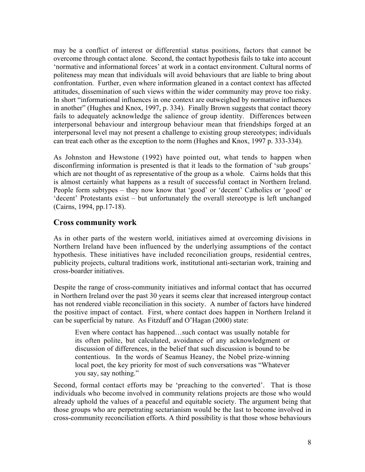may be a conflict of interest or differential status positions, factors that cannot be overcome through contact alone. Second, the contact hypothesis fails to take into account 'normative and informational forces' at work in a contact environment. Cultural norms of politeness may mean that individuals will avoid behaviours that are liable to bring about confrontation. Further, even where information gleaned in a contact context has affected attitudes, dissemination of such views within the wider community may prove too risky. In short "informational influences in one context are outweighed by normative influences in another" (Hughes and Knox, 1997, p. 334). Finally Brown suggests that contact theory fails to adequately acknowledge the salience of group identity. Differences between interpersonal behaviour and intergroup behaviour mean that friendships forged at an interpersonal level may not present a challenge to existing group stereotypes; individuals can treat each other as the exception to the norm (Hughes and Knox, 1997 p. 333-334).

As Johnston and Hewstone (1992) have pointed out, what tends to happen when disconfirming information is presented is that it leads to the formation of 'sub groups' which are not thought of as representative of the group as a whole. Cairns holds that this is almost certainly what happens as a result of successful contact in Northern Ireland. People form subtypes – they now know that 'good' or 'decent' Catholics or 'good' or 'decent' Protestants exist – but unfortunately the overall stereotype is left unchanged (Cairns, 1994, pp.17-18).

#### **Cross community work**

As in other parts of the western world, initiatives aimed at overcoming divisions in Northern Ireland have been influenced by the underlying assumptions of the contact hypothesis. These initiatives have included reconciliation groups, residential centres, publicity projects, cultural traditions work, institutional anti-sectarian work, training and cross-boarder initiatives.

Despite the range of cross-community initiatives and informal contact that has occurred in Northern Ireland over the past 30 years it seems clear that increased intergroup contact has not rendered viable reconciliation in this society. A number of factors have hindered the positive impact of contact. First, where contact does happen in Northern Ireland it can be superficial by nature. As Fitzduff and O'Hagan (2000) state:

Even where contact has happened…such contact was usually notable for its often polite, but calculated, avoidance of any acknowledgment or discussion of differences, in the belief that such discussion is bound to be contentious. In the words of Seamus Heaney, the Nobel prize-winning local poet, the key priority for most of such conversations was "Whatever you say, say nothing."

Second, formal contact efforts may be 'preaching to the converted'. That is those individuals who become involved in community relations projects are those who would already uphold the values of a peaceful and equitable society. The argument being that those groups who are perpetrating sectarianism would be the last to become involved in cross-community reconciliation efforts. A third possibility is that those whose behaviours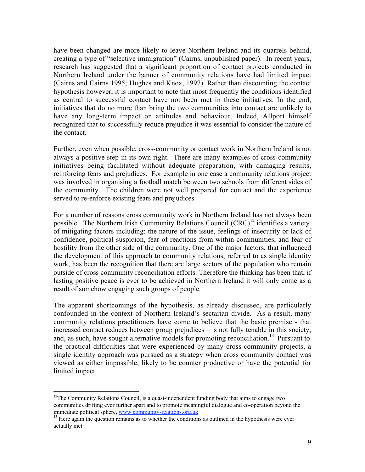have been changed are more likely to leave Northern Ireland and its quarrels behind, creating a type of "selective immigration" (Cairns, unpublished paper). In recent years, research has suggested that a significant proportion of contact projects conducted in Northern Ireland under the banner of community relations have had limited impact (Cairns and Cairns 1995; Hughes and Knox, 1997). Rather than discounting the contact hypothesis however, it is important to note that most frequently the conditions identified as central to successful contact have not been met in these initiatives. In the end, initiatives that do no more than bring the two communities into contact are unlikely to have any long-term impact on attitudes and behaviour. Indeed, Allport himself recognized that to successfully reduce prejudice it was essential to consider the nature of the contact.

Further, even when possible, cross-community or contact work in Northern Ireland is not always a positive step in its own right. There are many examples of cross-community initiatives being facilitated without adequate preparation, with damaging results, reinforcing fears and prejudices. For example in one case a community relations project was involved in organising a football match between two schools from different sides of the community. The children were not well prepared for contact and the experience served to re-enforce existing fears and prejudices.

For a number of reasons cross community work in Northern Ireland has not always been possible. The Northern Irish Community Relations Council  $(CRC)^{12}$  identifies a variety of mitigating factors including: the nature of the issue, feelings of insecurity or lack of confidence, political suspicion, fear of reactions from within communities, and fear of hostility from the other side of the community. One of the major factors, that influenced the development of this approach to community relations, referred to as single identity work, has been the recognition that there are large sectors of the population who remain outside of cross community reconciliation efforts. Therefore the thinking has been that, if lasting positive peace is ever to be achieved in Northern Ireland it will only come as a result of somehow engaging such groups of people.

The apparent shortcomings of the hypothesis, as already discussed, are particularly confounded in the context of Northern Ireland's sectarian divide. As a result, many community relations practitioners have come to believe that the basic premise - that increased contact reduces between group prejudices – is not fully tenable in this society, and, as such, have sought alternative models for promoting reconciliation.<sup>13</sup> Pursuant to the practical difficulties that were experienced by many cross-community projects, a single identity approach was pursued as a strategy when cross community contact was viewed as either impossible, likely to be counter productive or have the potential for limited impact.

<sup>&</sup>lt;sup>12</sup>The Community Relations Council, is a quasi-independent funding body that aims to engage two communities drifting ever further apart and to promote meaningful dialogue and co-operation beyond the immediate political sphere, www.community-relations.org.uk

<sup>&</sup>lt;sup>13</sup> Here again the question remains as to whether the conditions as outlined in the hypothesis were ever actually met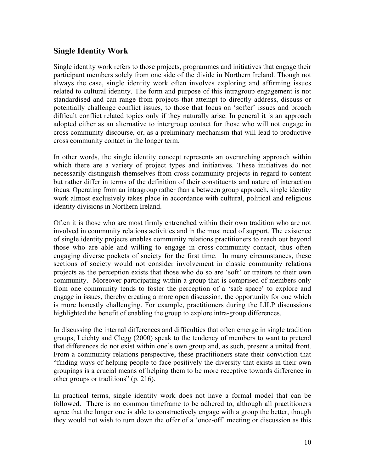#### **Single Identity Work**

Single identity work refers to those projects, programmes and initiatives that engage their participant members solely from one side of the divide in Northern Ireland. Though not always the case, single identity work often involves exploring and affirming issues related to cultural identity. The form and purpose of this intragroup engagement is not standardised and can range from projects that attempt to directly address, discuss or potentially challenge conflict issues, to those that focus on 'softer' issues and broach difficult conflict related topics only if they naturally arise. In general it is an approach adopted either as an alternative to intergroup contact for those who will not engage in cross community discourse, or, as a preliminary mechanism that will lead to productive cross community contact in the longer term.

In other words, the single identity concept represents an overarching approach within which there are a variety of project types and initiatives. These initiatives do not necessarily distinguish themselves from cross-community projects in regard to content but rather differ in terms of the definition of their constituents and nature of interaction focus. Operating from an intragroup rather than a between group approach, single identity work almost exclusively takes place in accordance with cultural, political and religious identity divisions in Northern Ireland.

Often it is those who are most firmly entrenched within their own tradition who are not involved in community relations activities and in the most need of support. The existence of single identity projects enables community relations practitioners to reach out beyond those who are able and willing to engage in cross-community contact, thus often engaging diverse pockets of society for the first time. In many circumstances, these sections of society would not consider involvement in classic community relations projects as the perception exists that those who do so are 'soft' or traitors to their own community. Moreover participating within a group that is comprised of members only from one community tends to foster the perception of a 'safe space' to explore and engage in issues, thereby creating a more open discussion, the opportunity for one which is more honestly challenging. For example, practitioners during the LILP discussions highlighted the benefit of enabling the group to explore intra-group differences.

In discussing the internal differences and difficulties that often emerge in single tradition groups, Leichty and Clegg (2000) speak to the tendency of members to want to pretend that differences do not exist within one's own group and, as such, present a united front. From a community relations perspective, these practitioners state their conviction that "finding ways of helping people to face positively the diversity that exists in their own groupings is a crucial means of helping them to be more receptive towards difference in other groups or traditions" (p. 216).

In practical terms, single identity work does not have a formal model that can be followed. There is no common timeframe to be adhered to, although all practitioners agree that the longer one is able to constructively engage with a group the better, though they would not wish to turn down the offer of a 'once-off' meeting or discussion as this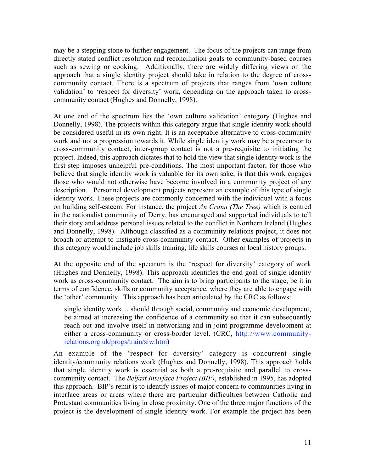may be a stepping stone to further engagement. The focus of the projects can range from directly stated conflict resolution and reconciliation goals to community-based courses such as sewing or cooking. Additionally, there are widely differing views on the approach that a single identity project should take in relation to the degree of crosscommunity contact. There is a spectrum of projects that ranges from 'own culture validation' to 'respect for diversity' work, depending on the approach taken to crosscommunity contact (Hughes and Donnelly, 1998).

At one end of the spectrum lies the 'own culture validation' category (Hughes and Donnelly, 1998). The projects within this category argue that single identity work should be considered useful in its own right. It is an acceptable alternative to cross-community work and not a progression towards it. While single identity work may be a precursor to cross-community contact, inter-group contact is not a pre-requisite to initiating the project. Indeed, this approach dictates that to hold the view that single identity work is the first step imposes unhelpful pre-conditions. The most important factor, for those who believe that single identity work is valuable for its own sake, is that this work engages those who would not otherwise have become involved in a community project of any description. Personnel development projects represent an example of this type of single identity work. These projects are commonly concerned with the individual with a focus on building self-esteem. For instance, the project *An Crann (The Tree)* which is centred in the nationalist community of Derry, has encouraged and supported individuals to tell their story and address personal issues related to the conflict in Northern Ireland (Hughes and Donnelly, 1998). Although classified as a community relations project, it does not broach or attempt to instigate cross-community contact. Other examples of projects in this category would include job skills training, life skills courses or local history groups.

At the opposite end of the spectrum is the 'respect for diversity' category of work (Hughes and Donnelly, 1998). This approach identifies the end goal of single identity work as cross-community contact. The aim is to bring participants to the stage, be it in terms of confidence, skills or community acceptance, where they are able to engage with the 'other' community. This approach has been articulated by the CRC as follows:

single identity work… should through social, community and economic development, be aimed at increasing the confidence of a community so that it can subsequently reach out and involve itself in networking and in joint programme development at either a cross-community or cross-border level. (CRC, http://www.communityrelations.org.uk/progs/train/siw.htm)

An example of the 'respect for diversity' category is concurrent single identity/community relations work (Hughes and Donnelly, 1998). This approach holds that single identity work is essential as both a pre-requisite and parallel to crosscommunity contact. The *Belfast Interface Project (BIP)*, established in 1995, has adopted this approach. BIP's remit is to identify issues of major concern to communities living in interface areas or areas where there are particular difficulties between Catholic and Protestant communities living in close proximity. One of the three major functions of the project is the development of single identity work. For example the project has been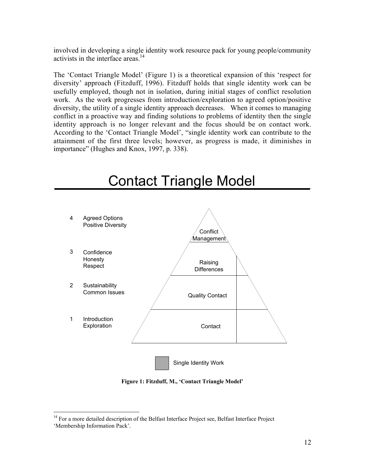involved in developing a single identity work resource pack for young people/community activists in the interface areas.<sup>14</sup>

The 'Contact Triangle Model' (Figure 1) is a theoretical expansion of this 'respect for diversity' approach (Fitzduff, 1996). Fitzduff holds that single identity work can be usefully employed, though not in isolation, during initial stages of conflict resolution work. As the work progresses from introduction/exploration to agreed option/positive diversity, the utility of a single identity approach decreases. When it comes to managing conflict in a proactive way and finding solutions to problems of identity then the single identity approach is no longer relevant and the focus should be on contact work. According to the 'Contact Triangle Model', "single identity work can contribute to the attainment of the first three levels; however, as progress is made, it diminishes in importance" (Hughes and Knox, 1997, p. 338).



# Contact Triangle Model

**Figure 1: Fitzduff, M., 'Contact Triangle Model'**

<sup>&</sup>lt;sup>14</sup> For a more detailed description of the Belfast Interface Project see, Belfast Interface Project 'Membership Information Pack'.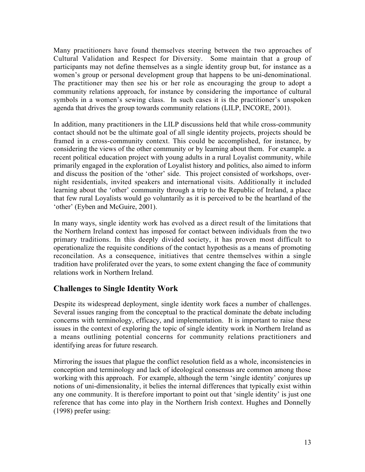Many practitioners have found themselves steering between the two approaches of Cultural Validation and Respect for Diversity. Some maintain that a group of participants may not define themselves as a single identity group but, for instance as a women's group or personal development group that happens to be uni-denominational. The practitioner may then see his or her role as encouraging the group to adopt a community relations approach, for instance by considering the importance of cultural symbols in a women's sewing class. In such cases it is the practitioner's unspoken agenda that drives the group towards community relations (LILP, INCORE, 2001).

In addition, many practitioners in the LILP discussions held that while cross-community contact should not be the ultimate goal of all single identity projects, projects should be framed in a cross-community context. This could be accomplished, for instance, by considering the views of the other community or by learning about them. For example. a recent political education project with young adults in a rural Loyalist community, while primarily engaged in the exploration of Loyalist history and politics, also aimed to inform and discuss the position of the 'other' side. This project consisted of workshops, overnight residentials, invited speakers and international visits. Additionally it included learning about the 'other' community through a trip to the Republic of Ireland, a place that few rural Loyalists would go voluntarily as it is perceived to be the heartland of the 'other' (Eyben and McGuire, 2001).

In many ways, single identity work has evolved as a direct result of the limitations that the Northern Ireland context has imposed for contact between individuals from the two primary traditions. In this deeply divided society, it has proven most difficult to operationalize the requisite conditions of the contact hypothesis as a means of promoting reconcilation. As a consequence, initiatives that centre themselves within a single tradition have proliferated over the years, to some extent changing the face of community relations work in Northern Ireland.

#### **Challenges to Single Identity Work**

Despite its widespread deployment, single identity work faces a number of challenges. Several issues ranging from the conceptual to the practical dominate the debate including concerns with terminology, efficacy, and implementation. It is important to raise these issues in the context of exploring the topic of single identity work in Northern Ireland as a means outlining potential concerns for community relations practitioners and identifying areas for future research.

Mirroring the issues that plague the conflict resolution field as a whole, inconsistencies in conception and terminology and lack of ideological consensus are common among those working with this approach. For example, although the term 'single identity' conjures up notions of uni-dimensionality, it belies the internal differences that typically exist within any one community. It is therefore important to point out that 'single identity' is just one reference that has come into play in the Northern Irish context. Hughes and Donnelly (1998) prefer using: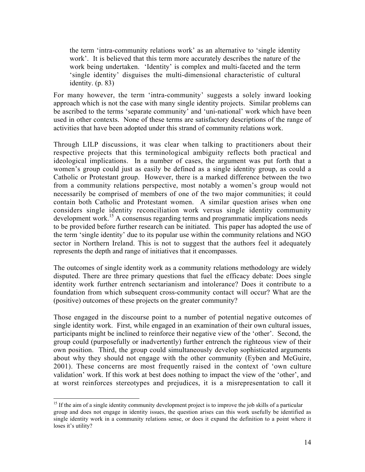the term 'intra-community relations work' as an alternative to 'single identity work'. It is believed that this term more accurately describes the nature of the work being undertaken. 'Identity' is complex and multi-faceted and the term 'single identity' disguises the multi-dimensional characteristic of cultural identity. (p. 83)

For many however, the term 'intra-community' suggests a solely inward looking approach which is not the case with many single identity projects. Similar problems can be ascribed to the terms 'separate community' and 'uni-national' work which have been used in other contexts. None of these terms are satisfactory descriptions of the range of activities that have been adopted under this strand of community relations work.

Through LILP discussions, it was clear when talking to practitioners about their respective projects that this terminological ambiguity reflects both practical and ideological implications. In a number of cases, the argument was put forth that a women's group could just as easily be defined as a single identity group, as could a Catholic or Protestant group. However, there is a marked difference between the two from a community relations perspective, most notably a women's group would not necessarily be comprised of members of one of the two major communities; it could contain both Catholic and Protestant women. A similar question arises when one considers single identity reconciliation work versus single identity community development work.<sup>15</sup> A consensus regarding terms and programmatic implications needs to be provided before further research can be initiated. This paper has adopted the use of the term 'single identity' due to its popular use within the community relations and NGO sector in Northern Ireland. This is not to suggest that the authors feel it adequately represents the depth and range of initiatives that it encompasses.

The outcomes of single identity work as a community relations methodology are widely disputed. There are three primary questions that fuel the efficacy debate: Does single identity work further entrench sectarianism and intolerance? Does it contribute to a foundation from which subsequent cross-community contact will occur? What are the (positive) outcomes of these projects on the greater community?

Those engaged in the discourse point to a number of potential negative outcomes of single identity work. First, while engaged in an examination of their own cultural issues, participants might be inclined to reinforce their negative view of the 'other'. Second, the group could (purposefully or inadvertently) further entrench the righteous view of their own position. Third, the group could simultaneously develop sophisticated arguments about why they should not engage with the other community (Eyben and McGuire, 2001). These concerns are most frequently raised in the context of 'own culture validation' work. If this work at best does nothing to impact the view of the 'other', and at worst reinforces stereotypes and prejudices, it is a misrepresentation to call it

<sup>&</sup>lt;sup>15</sup> If the aim of a single identity community development project is to improve the job skills of a particular group and does not engage in identity issues, the question arises can this work usefully be identified as single identity work in a community relations sense, or does it expand the definition to a point where it loses it's utility?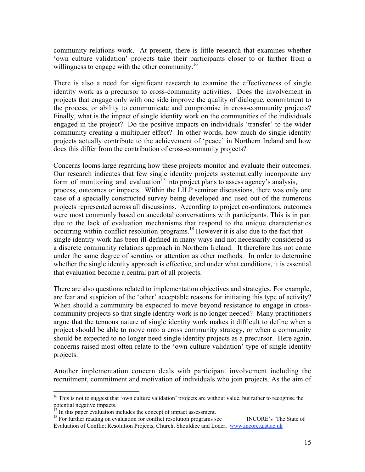community relations work. At present, there is little research that examines whether 'own culture validation' projects take their participants closer to or farther from a willingness to engage with the other community.<sup>16</sup>

There is also a need for significant research to examine the effectiveness of single identity work as a precursor to cross-community activities. Does the involvement in projects that engage only with one side improve the quality of dialogue, commitment to the process, or ability to communicate and compromise in cross-community projects? Finally, what is the impact of single identity work on the communities of the individuals engaged in the project? Do the positive impacts on individuals 'transfer' to the wider community creating a multiplier effect? In other words, how much do single identity projects actually contribute to the achievement of 'peace' in Northern Ireland and how does this differ from the contribution of cross-community projects?

Concerns looms large regarding how these projects monitor and evaluate their outcomes. Our research indicates that few single identity projects systematically incorporate any form of monitoring and evaluation<sup>17</sup> into project plans to assess agency's analysis, process, outcomes or impacts. Within the LILP seminar discussions, there was only one case of a specially constructed survey being developed and used out of the numerous projects represented across all discussions. According to project co-ordinators, outcomes were most commonly based on anecdotal conversations with participants. This is in part due to the lack of evaluation mechanisms that respond to the unique characteristics occurring within conflict resolution programs. 18 However it is also due to the fact that single identity work has been ill-defined in many ways and not necessarily considered as a discrete community relations approach in Northern Ireland. It therefore has not come under the same degree of scrutiny or attention as other methods. In order to determine whether the single identity approach is effective, and under what conditions, it is essential that evaluation become a central part of all projects.

There are also questions related to implementation objectives and strategies. For example, are fear and suspicion of the 'other' acceptable reasons for initiating this type of activity? When should a community be expected to move beyond resistance to engage in crosscommunity projects so that single identity work is no longer needed? Many practitioners argue that the tenuous nature of single identity work makes it difficult to define when a project should be able to move onto a cross community strategy, or when a community should be expected to no longer need single identity projects as a precursor. Here again, concerns raised most often relate to the 'own culture validation' type of single identity projects.

Another implementation concern deals with participant involvement including the recruitment, commitment and motivation of individuals who join projects. As the aim of

<sup>&</sup>lt;sup>16</sup> This is not to suggest that 'own culture validation' projects are without value, but rather to recognise the potential negative impacts.

In this paper evaluation includes the concept of impact assessment.

<sup>&</sup>lt;sup>18</sup> For further reading on evaluation for conflict resolution programs see INCORE's 'The State of Evaluation of Conflict Resolution Projects, Church, Shouldice and Loder; www.incore.ulst.ac.uk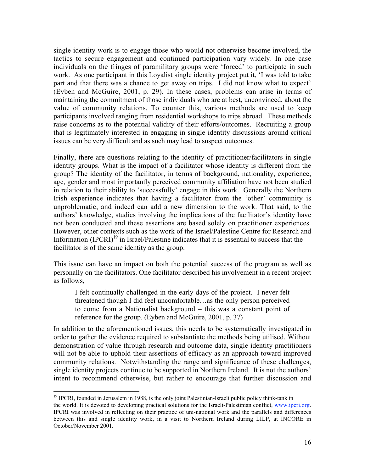single identity work is to engage those who would not otherwise become involved, the tactics to secure engagement and continued participation vary widely. In one case individuals on the fringes of paramilitary groups were 'forced' to participate in such work. As one participant in this Loyalist single identity project put it, 'I was told to take part and that there was a chance to get away on trips. I did not know what to expect' (Eyben and McGuire, 2001, p. 29). In these cases, problems can arise in terms of maintaining the commitment of those individuals who are at best, unconvinced, about the value of community relations. To counter this, various methods are used to keep participants involved ranging from residential workshops to trips abroad. These methods raise concerns as to the potential validity of their efforts/outcomes. Recruiting a group that is legitimately interested in engaging in single identity discussions around critical issues can be very difficult and as such may lead to suspect outcomes.

Finally, there are questions relating to the identity of practitioner/facilitators in single identity groups. What is the impact of a facilitator whose identity is different from the group? The identity of the facilitator, in terms of background, nationality, experience, age, gender and most importantly perceived community affiliation have not been studied in relation to their ability to 'successfully' engage in this work. Generally the Northern Irish experience indicates that having a facilitator from the 'other' community is unproblematic, and indeed can add a new dimension to the work. That said, to the authors' knowledge, studies involving the implications of the facilitator's identity have not been conducted and these assertions are based solely on practitioner experiences. However, other contexts such as the work of the Israel/Palestine Centre for Research and Information  $(IPCRI)^{19}$  in Israel/Palestine indicates that it is essential to success that the facilitator is of the same identity as the group.

This issue can have an impact on both the potential success of the program as well as personally on the facilitators. One facilitator described his involvement in a recent project as follows,

I felt continually challenged in the early days of the project. I never felt threatened though I did feel uncomfortable…as the only person perceived to come from a Nationalist background – this was a constant point of reference for the group. (Eyben and McGuire, 2001, p. 37)

In addition to the aforementioned issues, this needs to be systematically investigated in order to gather the evidence required to substantiate the methods being utilised. Without demonstration of value through research and outcome data, single identity practitioners will not be able to uphold their assertions of efficacy as an approach toward improved community relations. Notwithstanding the range and significance of these challenges, single identity projects continue to be supported in Northern Ireland. It is not the authors' intent to recommend otherwise, but rather to encourage that further discussion and

<sup>&</sup>lt;sup>19</sup> IPCRI, founded in Jerusalem in 1988, is the only joint Palestinian-Israeli public policy think-tank in the world. It is devoted to developing practical solutions for the Israeli-Palestinian conflict, www.ipcri.org. IPCRI was involved in reflecting on their practice of uni-national work and the parallels and differences between this and single identity work, in a visit to Northern Ireland during LILP, at INCORE in October/November 2001.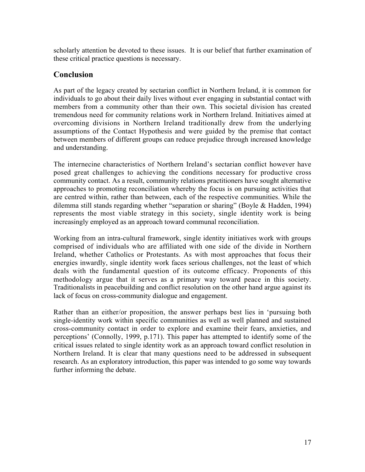scholarly attention be devoted to these issues. It is our belief that further examination of these critical practice questions is necessary.

#### **Conclusion**

As part of the legacy created by sectarian conflict in Northern Ireland, it is common for individuals to go about their daily lives without ever engaging in substantial contact with members from a community other than their own. This societal division has created tremendous need for community relations work in Northern Ireland. Initiatives aimed at overcoming divisions in Northern Ireland traditionally drew from the underlying assumptions of the Contact Hypothesis and were guided by the premise that contact between members of different groups can reduce prejudice through increased knowledge and understanding.

The internecine characteristics of Northern Ireland's sectarian conflict however have posed great challenges to achieving the conditions necessary for productive cross community contact. As a result, community relations practitioners have sought alternative approaches to promoting reconciliation whereby the focus is on pursuing activities that are centred within, rather than between, each of the respective communities. While the dilemma still stands regarding whether "separation or sharing" (Boyle & Hadden, 1994) represents the most viable strategy in this society, single identity work is being increasingly employed as an approach toward communal reconciliation.

Working from an intra-cultural framework, single identity initiatives work with groups comprised of individuals who are affiliated with one side of the divide in Northern Ireland, whether Catholics or Protestants. As with most approaches that focus their energies inwardly, single identity work faces serious challenges, not the least of which deals with the fundamental question of its outcome efficacy. Proponents of this methodology argue that it serves as a primary way toward peace in this society. Traditionalists in peacebuilding and conflict resolution on the other hand argue against its lack of focus on cross-community dialogue and engagement.

Rather than an either/or proposition, the answer perhaps best lies in 'pursuing both single-identity work within specific communities as well as well planned and sustained cross-community contact in order to explore and examine their fears, anxieties, and perceptions' (Connolly, 1999, p.171). This paper has attempted to identify some of the critical issues related to single identity work as an approach toward conflict resolution in Northern Ireland. It is clear that many questions need to be addressed in subsequent research. As an exploratory introduction, this paper was intended to go some way towards further informing the debate.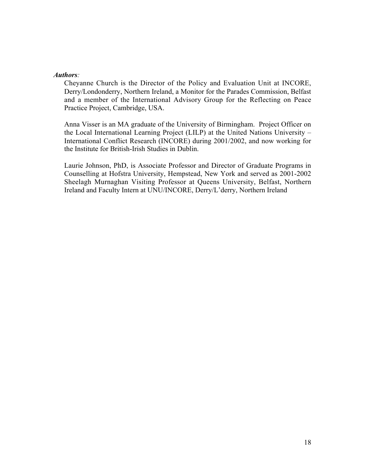#### *Authors:*

Cheyanne Church is the Director of the Policy and Evaluation Unit at INCORE, Derry/Londonderry, Northern Ireland, a Monitor for the Parades Commission, Belfast and a member of the International Advisory Group for the Reflecting on Peace Practice Project, Cambridge, USA.

Anna Visser is an MA graduate of the University of Birmingham. Project Officer on the Local International Learning Project (LILP) at the United Nations University – International Conflict Research (INCORE) during 2001/2002, and now working for the Institute for British-Irish Studies in Dublin.

Laurie Johnson, PhD, is Associate Professor and Director of Graduate Programs in Counselling at Hofstra University, Hempstead, New York and served as 2001-2002 Sheelagh Murnaghan Visiting Professor at Queens University, Belfast, Northern Ireland and Faculty Intern at UNU/INCORE, Derry/L'derry, Northern Ireland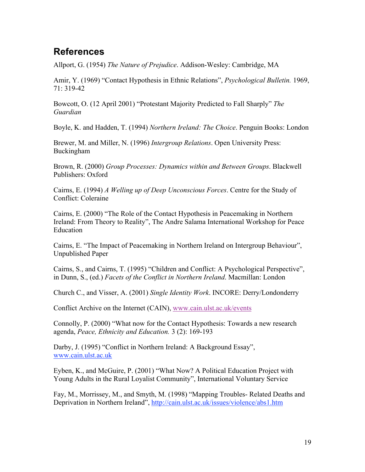## **References**

Allport, G. (1954) *The Nature of Prejudice*. Addison-Wesley: Cambridge, MA

Amir, Y. (1969) "Contact Hypothesis in Ethnic Relations", *Psychological Bulletin.* 1969, 71: 319-42

Bowcott, O. (12 April 2001) "Protestant Majority Predicted to Fall Sharply" *The Guardian*

Boyle, K. and Hadden, T. (1994) *Northern Ireland: The Choice*. Penguin Books: London

Brewer, M. and Miller, N. (1996) *Intergroup Relations*. Open University Press: Buckingham

Brown, R. (2000) *Group Processes: Dynamics within and Between Groups*. Blackwell Publishers: Oxford

Cairns, E. (1994) *A Welling up of Deep Unconscious Forces*. Centre for the Study of Conflict: Coleraine

Cairns, E. (2000) "The Role of the Contact Hypothesis in Peacemaking in Northern Ireland: From Theory to Reality", The Andre Salama International Workshop for Peace Education

Cairns, E. "The Impact of Peacemaking in Northern Ireland on Intergroup Behaviour", Unpublished Paper

Cairns, S., and Cairns, T. (1995) "Children and Conflict: A Psychological Perspective", in Dunn, S., (ed.) *Facets of the Conflict in Northern Ireland*. Macmillan: London

Church C., and Visser, A. (2001) *Single Identity Work*. INCORE: Derry/Londonderry

Conflict Archive on the Internet (CAIN), www.cain.ulst.ac.uk/events

Connolly, P. (2000) "What now for the Contact Hypothesis: Towards a new research agenda, *Peace, Ethnicity and Education.* 3 (2): 169-193

Darby, J. (1995) "Conflict in Northern Ireland: A Background Essay", www.cain.ulst.ac.uk

Eyben, K., and McGuire, P. (2001) "What Now? A Political Education Project with Young Adults in the Rural Loyalist Community", International Voluntary Service

Fay, M., Morrissey, M., and Smyth, M. (1998) "Mapping Troubles- Related Deaths and Deprivation in Northern Ireland", http://cain.ulst.ac.uk/issues/violence/abs1.htm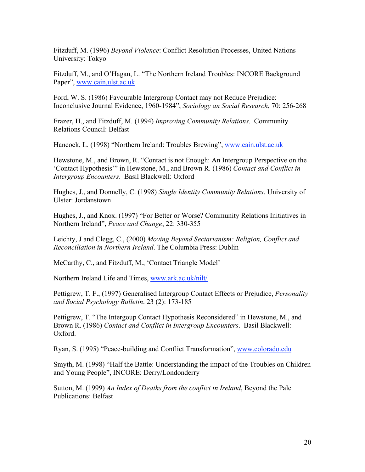Fitzduff, M. (1996) *Beyond Violence*: Conflict Resolution Processes, United Nations University: Tokyo

Fitzduff, M., and O'Hagan, L. "The Northern Ireland Troubles: INCORE Background Paper", www.cain.ulst.ac.uk

Ford, W. S. (1986) Favourable Intergroup Contact may not Reduce Prejudice: Inconclusive Journal Evidence, 1960-1984", *Sociology an Social Research*, 70: 256-268

Frazer, H., and Fitzduff, M. (1994) *Improving Community Relations*. Community Relations Council: Belfast

Hancock, L. (1998) "Northern Ireland: Troubles Brewing", www.cain.ulst.ac.uk

Hewstone, M., and Brown, R. "Contact is not Enough: An Intergroup Perspective on the 'Contact Hypothesis'" in Hewstone, M., and Brown R. (1986) *Contact and Conflict in Intergroup Encounters*. Basil Blackwell: Oxford

Hughes, J., and Donnelly, C. (1998) *Single Identity Community Relations*. University of Ulster: Jordanstown

Hughes, J., and Knox. (1997) "For Better or Worse? Community Relations Initiatives in Northern Ireland", *Peace and Change*, 22: 330-355

Leichty, J and Clegg, C., (2000) *Moving Beyond Sectarianism: Religion, Conflict and Reconciliation in Northern Ireland*. The Columbia Press: Dublin

McCarthy, C., and Fitzduff, M., 'Contact Triangle Model'

Northern Ireland Life and Times, www.ark.ac.uk/nilt/

Pettigrew, T. F., (1997) Generalised Intergroup Contact Effects or Prejudice, *Personality and Social Psychology Bulletin*. 23 (2): 173-185

Pettigrew, T. "The Intergoup Contact Hypothesis Reconsidered" in Hewstone, M., and Brown R. (1986) *Contact and Conflict in Intergroup Encounters*. Basil Blackwell: Oxford.

Ryan, S. (1995) "Peace-building and Conflict Transformation", www.colorado.edu

Smyth, M. (1998) "Half the Battle: Understanding the impact of the Troubles on Children and Young People", INCORE: Derry/Londonderry

Sutton, M. (1999) *An Index of Deaths from the conflict in Ireland*, Beyond the Pale Publications: Belfast